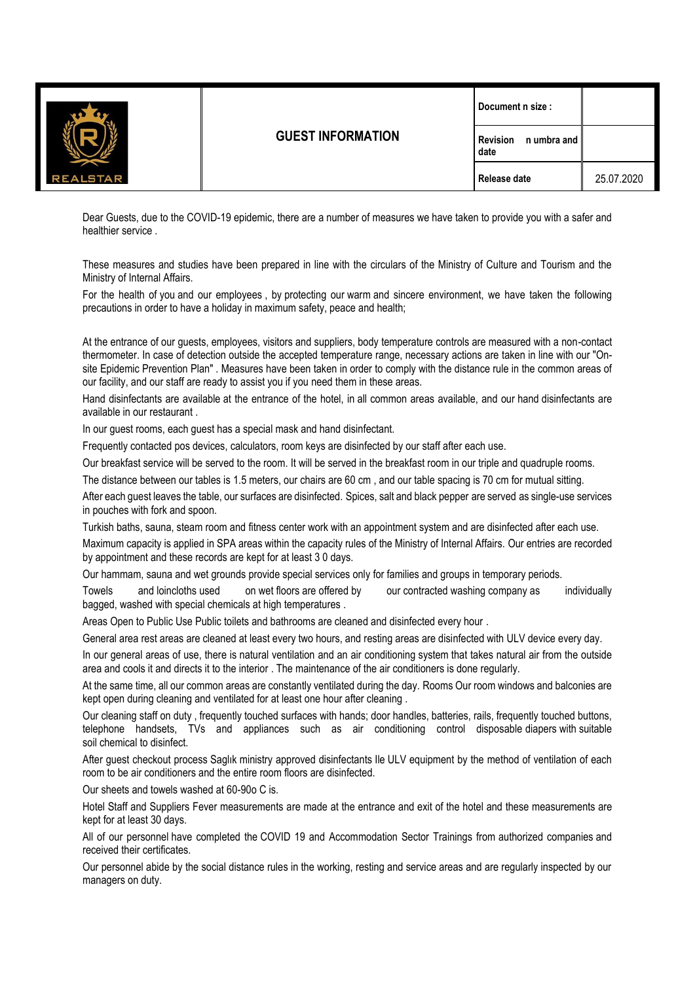| <b>GUEST INFORMATION</b><br><b>Revision</b><br>n umbra and l<br>date | <b>REALSTAR</b> |  | Document n size: |            |
|----------------------------------------------------------------------|-----------------|--|------------------|------------|
|                                                                      |                 |  |                  |            |
| Release date                                                         |                 |  |                  | 25.07.2020 |

Dear Guests, due to the COVID-19 epidemic, there are a number of measures we have taken to provide you with a safer and healthier service .

These measures and studies have been prepared in line with the circulars of the Ministry of Culture and Tourism and the Ministry of Internal Affairs.

For the health of you and our employees , by protecting our warm and sincere environment, we have taken the following precautions in order to have a holiday in maximum safety, peace and health;

At the entrance of our guests, employees, visitors and suppliers, body temperature controls are measured with a non-contact thermometer. In case of detection outside the accepted temperature range, necessary actions are taken in line with our "Onsite Epidemic Prevention Plan" . Measures have been taken in order to comply with the distance rule in the common areas of our facility, and our staff are ready to assist you if you need them in these areas.

Hand disinfectants are available at the entrance of the hotel, in all common areas available, and our hand disinfectants are available in our restaurant .

In our guest rooms, each guest has a special mask and hand disinfectant.

Frequently contacted pos devices, calculators, room keys are disinfected by our staff after each use.

Our breakfast service will be served to the room. It will be served in the breakfast room in our triple and quadruple rooms.

The distance between our tables is 1.5 meters, our chairs are 60 cm , and our table spacing is 70 cm for mutual sitting.

After each guest leaves the table, our surfaces are disinfected. Spices, salt and black pepper are served as single-use services in pouches with fork and spoon.

Turkish baths, sauna, steam room and fitness center work with an appointment system and are disinfected after each use.

Maximum capacity is applied in SPA areas within the capacity rules of the Ministry of Internal Affairs. Our entries are recorded by appointment and these records are kept for at least 3 0 days.

Our hammam, sauna and wet grounds provide special services only for families and groups in temporary periods.

Towels and loincloths used on wet floors are offered by our contracted washing company as individually bagged, washed with special chemicals at high temperatures .

Areas Open to Public Use Public toilets and bathrooms are cleaned and disinfected every hour .

General area rest areas are cleaned at least every two hours, and resting areas are disinfected with ULV device every day.

In our general areas of use, there is natural ventilation and an air conditioning system that takes natural air from the outside area and cools it and directs it to the interior . The maintenance of the air conditioners is done regularly.

At the same time, all our common areas are constantly ventilated during the day. Rooms Our room windows and balconies are kept open during cleaning and ventilated for at least one hour after cleaning .

Our cleaning staff on duty , frequently touched surfaces with hands; door handles, batteries, rails, frequently touched buttons, telephone handsets, TVs and appliances such as air conditioning control disposable diapers with suitable soil chemical to disinfect.

After guest checkout process Saglık ministry approved disinfectants Ile ULV equipment by the method of ventilation of each room to be air conditioners and the entire room floors are disinfected.

Our sheets and towels washed at 60-90o C is.

Hotel Staff and Suppliers Fever measurements are made at the entrance and exit of the hotel and these measurements are kept for at least 30 days.

All of our personnel have completed the COVID 19 and Accommodation Sector Trainings from authorized companies and received their certificates.

Our personnel abide by the social distance rules in the working, resting and service areas and are regularly inspected by our managers on duty.